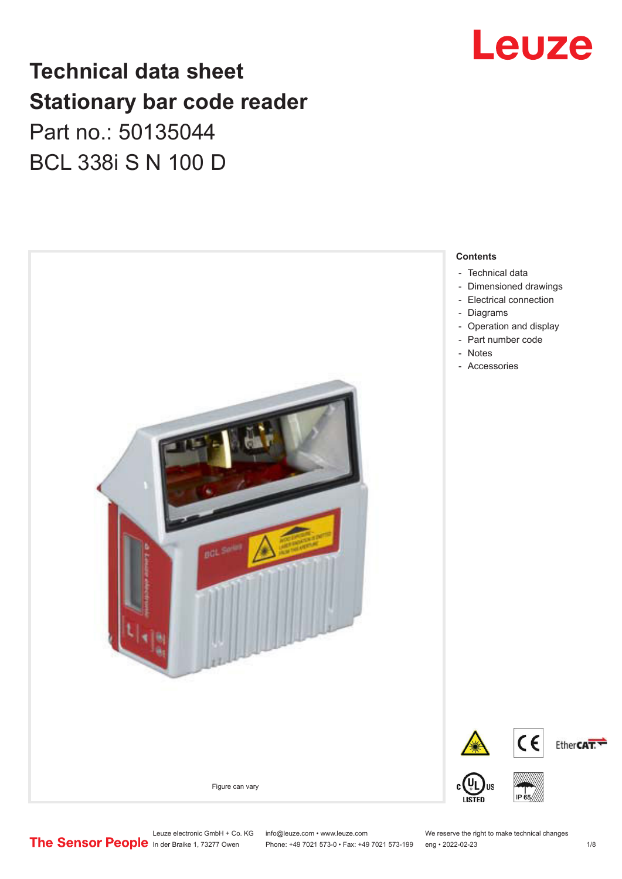### Leuze

### **Technical data sheet Stationary bar code reader** Part no.: 50135044 BCL 338i S N 100 D



Leuze electronic GmbH + Co. KG info@leuze.com • www.leuze.com We reserve the right to make technical changes<br>
The Sensor People in der Braike 1, 73277 Owen Phone: +49 7021 573-0 • Fax: +49 7021 573-199 eng • 2022-02-23

Phone: +49 7021 573-0 • Fax: +49 7021 573-199 eng • 2022-02-23 1 /8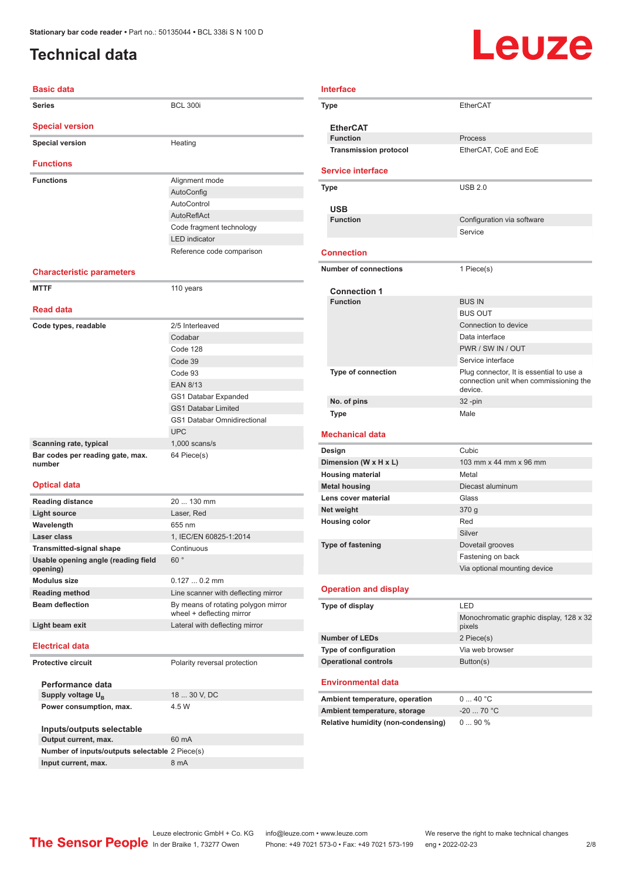### <span id="page-1-0"></span>**Technical data**

# Leuze

| <b>Basic data</b>                               |                                                                  |
|-------------------------------------------------|------------------------------------------------------------------|
| <b>Series</b>                                   | <b>BCL 300i</b>                                                  |
| <b>Special version</b>                          |                                                                  |
| <b>Special version</b>                          | Heating                                                          |
| <b>Functions</b>                                |                                                                  |
| <b>Functions</b>                                | Alignment mode                                                   |
|                                                 | AutoConfig                                                       |
|                                                 | AutoControl                                                      |
|                                                 | <b>AutoReflAct</b>                                               |
|                                                 | Code fragment technology                                         |
|                                                 | <b>LED</b> indicator                                             |
|                                                 | Reference code comparison                                        |
| <b>Characteristic parameters</b>                |                                                                  |
| <b>MTTF</b>                                     | 110 years                                                        |
| <b>Read data</b>                                |                                                                  |
| Code types, readable                            | 2/5 Interleaved                                                  |
|                                                 | Codabar                                                          |
|                                                 | Code 128                                                         |
|                                                 | Code 39                                                          |
|                                                 | Code 93                                                          |
|                                                 | <b>EAN 8/13</b>                                                  |
|                                                 | GS1 Databar Expanded                                             |
|                                                 | <b>GS1 Databar Limited</b>                                       |
|                                                 | <b>GS1 Databar Omnidirectional</b>                               |
|                                                 | <b>UPC</b>                                                       |
| Scanning rate, typical                          | $1,000$ scans/s                                                  |
| Bar codes per reading gate, max.<br>number      | 64 Piece(s)                                                      |
| <b>Optical data</b>                             |                                                                  |
| <b>Reading distance</b>                         | 20  130 mm                                                       |
| <b>Light source</b>                             | Laser, Red                                                       |
| Wavelength                                      | 655 nm                                                           |
| Laser class                                     | 1, IEC/EN 60825-1:2014                                           |
| <b>Transmitted-signal shape</b>                 | Continuous                                                       |
| Usable opening angle (reading field<br>opening) | 60°                                                              |
| <b>Modulus size</b>                             | $0.1270.2$ mm                                                    |
| <b>Reading method</b>                           | Line scanner with deflecting mirror                              |
| <b>Beam deflection</b>                          | By means of rotating polygon mirror<br>wheel + deflecting mirror |
| Light beam exit                                 | Lateral with deflecting mirror                                   |
| <b>Electrical data</b>                          |                                                                  |
| <b>Protective circuit</b>                       | Polarity reversal protection                                     |
| Performance data                                |                                                                  |
| Supply voltage U <sub>R</sub>                   | 18  30 V, DC                                                     |
| Power consumption, max.                         | 4.5 W                                                            |
| Inputs/outputs selectable                       |                                                                  |
| Output current, max.                            | 60 mA                                                            |
| Number of inputs/outputs selectable 2 Piece(s)  |                                                                  |
| Input current, max.                             | 8 mA                                                             |

| Interface                                 |                                                                                    |
|-------------------------------------------|------------------------------------------------------------------------------------|
| Type                                      | <b>EtherCAT</b>                                                                    |
|                                           |                                                                                    |
| <b>EtherCAT</b><br><b>Function</b>        | Process                                                                            |
| <b>Transmission protocol</b>              | EtherCAT, CoE and EoE                                                              |
|                                           |                                                                                    |
| <b>Service interface</b>                  |                                                                                    |
| Type                                      | <b>USB 2.0</b>                                                                     |
| USB                                       |                                                                                    |
| <b>Function</b>                           | Configuration via software                                                         |
|                                           | Service                                                                            |
| <b>Connection</b>                         |                                                                                    |
|                                           |                                                                                    |
| <b>Number of connections</b>              | 1 Piece(s)                                                                         |
| <b>Connection 1</b>                       |                                                                                    |
| <b>Function</b>                           | <b>BUS IN</b>                                                                      |
|                                           | <b>BUS OUT</b>                                                                     |
|                                           | Connection to device                                                               |
|                                           | Data interface                                                                     |
|                                           | PWR / SW IN / OUT                                                                  |
|                                           | Service interface                                                                  |
| <b>Type of connection</b>                 | Plug connector, It is essential to use a<br>connection unit when commissioning the |
|                                           | device.                                                                            |
| No. of pins                               | $32 - pin$                                                                         |
| <b>Type</b>                               | Male                                                                               |
| <b>Mechanical data</b>                    |                                                                                    |
| Design                                    | Cubic                                                                              |
| Dimension (W x H x L)                     | 103 mm x 44 mm x 96 mm                                                             |
| <b>Housing material</b>                   | Metal                                                                              |
| <b>Metal housing</b>                      | Diecast aluminum                                                                   |
| Lens cover material                       | Glass                                                                              |
| Net weight                                | 370 g                                                                              |
| <b>Housing color</b>                      | Red                                                                                |
|                                           | Silver                                                                             |
| <b>Type of fastening</b>                  | Dovetail grooves                                                                   |
|                                           | Fastening on back                                                                  |
|                                           | Via optional mounting device                                                       |
| <b>Operation and display</b>              |                                                                                    |
| Type of display                           | LED                                                                                |
|                                           | Monochromatic graphic display, 128 x 32                                            |
|                                           | pixels                                                                             |
| <b>Number of LEDs</b>                     | 2 Piece(s)                                                                         |
| Type of configuration                     | Via web browser                                                                    |
| <b>Operational controls</b>               | Button(s)                                                                          |
| <b>Environmental data</b>                 |                                                                                    |
| Ambient temperature, operation            | 040 °C                                                                             |
| Ambient temperature, storage              | $-20$ 70 °C                                                                        |
| <b>Relative humidity (non-condensing)</b> | 090%                                                                               |
|                                           |                                                                                    |
|                                           |                                                                                    |
|                                           |                                                                                    |
|                                           |                                                                                    |

Leuze electronic GmbH + Co. KG info@leuze.com • www.leuze.com We reserve the right to make technical changes In der Braike 1, 73277 Owen Phone: +49 7021 573-0 • Fax: +49 7021 573-199 eng • 2022-02-23 2 /8

×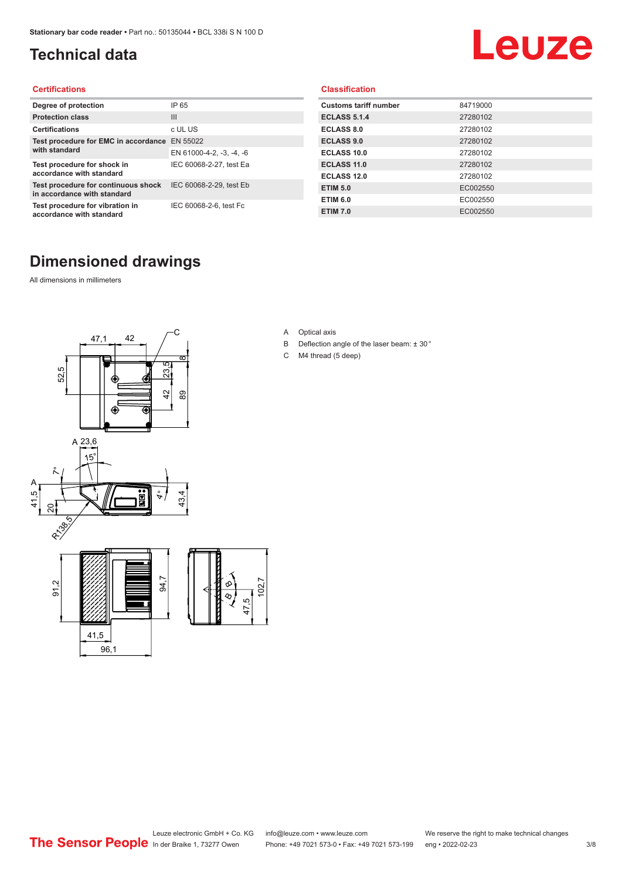### <span id="page-2-0"></span>**Technical data**

# Leuze

#### **Certifications**

| Degree of protection                                               | IP 65                    |
|--------------------------------------------------------------------|--------------------------|
| <b>Protection class</b>                                            | $\mathbf{III}$           |
| <b>Certifications</b>                                              | c UL US                  |
| Test procedure for EMC in accordance                               | EN 55022                 |
| with standard                                                      | EN 61000-4-2, -3, -4, -6 |
| Test procedure for shock in<br>accordance with standard            | IEC 60068-2-27, test Ea  |
| Test procedure for continuous shock<br>in accordance with standard | IEC 60068-2-29, test Eb  |
| Test procedure for vibration in<br>accordance with standard        | IEC 60068-2-6, test Fc   |

#### **Classification**

| <b>Customs tariff number</b> | 84719000 |
|------------------------------|----------|
| <b>ECLASS 5.1.4</b>          | 27280102 |
| <b>ECLASS 8.0</b>            | 27280102 |
| <b>ECLASS 9.0</b>            | 27280102 |
| <b>ECLASS 10.0</b>           | 27280102 |
| <b>ECLASS 11.0</b>           | 27280102 |
| ECLASS 12.0                  | 27280102 |
| <b>ETIM 5.0</b>              | EC002550 |
| <b>ETIM 6.0</b>              | EC002550 |
| <b>ETIM 7.0</b>              | EC002550 |

#### **Dimensioned drawings**

All dimensions in millimeters





- B Deflection angle of the laser beam: ± 30 °
- C M4 thread (5 deep)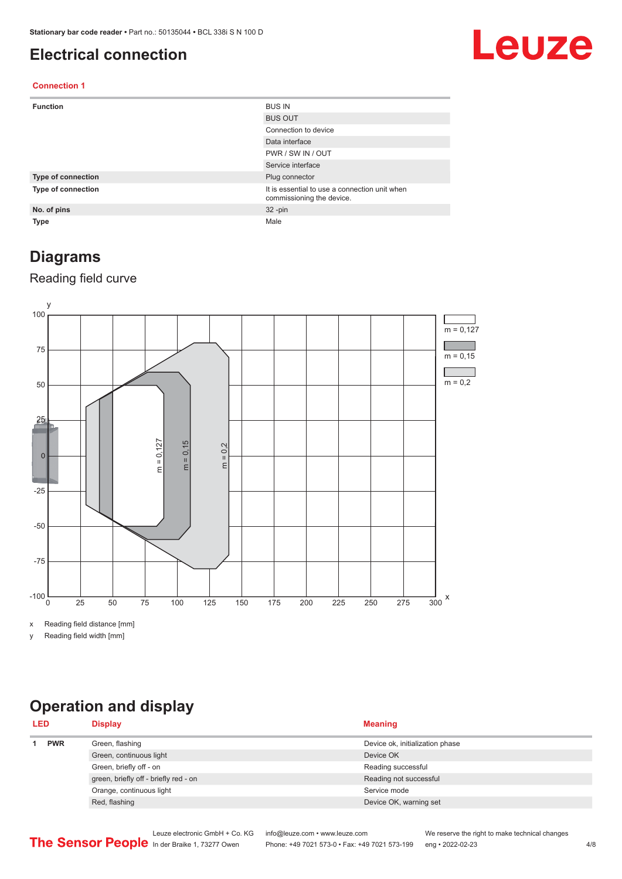#### <span id="page-3-0"></span>**Electrical connection**

### Leuze

#### **Connection 1**

| <b>Function</b>    | <b>BUS IN</b>                                                              |
|--------------------|----------------------------------------------------------------------------|
|                    | <b>BUS OUT</b>                                                             |
|                    | Connection to device                                                       |
|                    | Data interface                                                             |
|                    | PWR / SW IN / OUT                                                          |
|                    | Service interface                                                          |
| Type of connection | Plug connector                                                             |
| Type of connection | It is essential to use a connection unit when<br>commissioning the device. |
| No. of pins        | $32 - pin$                                                                 |
| <b>Type</b>        | Male                                                                       |

#### **Diagrams**

#### Reading field curve



x Reading field distance [mm]

y Reading field width [mm]

### **Operation and display**

| <b>PWR</b><br>Green, flashing<br>Device ok, initialization phase<br>Green, continuous light<br>Device OK | <b>LED</b> | <b>Display</b>          | <b>Meaning</b>     |
|----------------------------------------------------------------------------------------------------------|------------|-------------------------|--------------------|
|                                                                                                          |            |                         |                    |
|                                                                                                          |            |                         |                    |
|                                                                                                          |            | Green, briefly off - on | Reading successful |
| green, briefly off - briefly red - on<br>Reading not successful                                          |            |                         |                    |
| Orange, continuous light<br>Service mode                                                                 |            |                         |                    |
| Red, flashing<br>Device OK, warning set                                                                  |            |                         |                    |

Leuze electronic GmbH + Co. KG info@leuze.com • www.leuze.com We reserve the right to make technical changes<br>
The Sensor People in der Braike 1, 73277 Owen Phone: +49 7021 573-0 • Fax: +49 7021 573-199 eng • 2022-02-23 Phone: +49 7021 573-0 • Fax: +49 7021 573-199 eng • 2022-02-23 4/8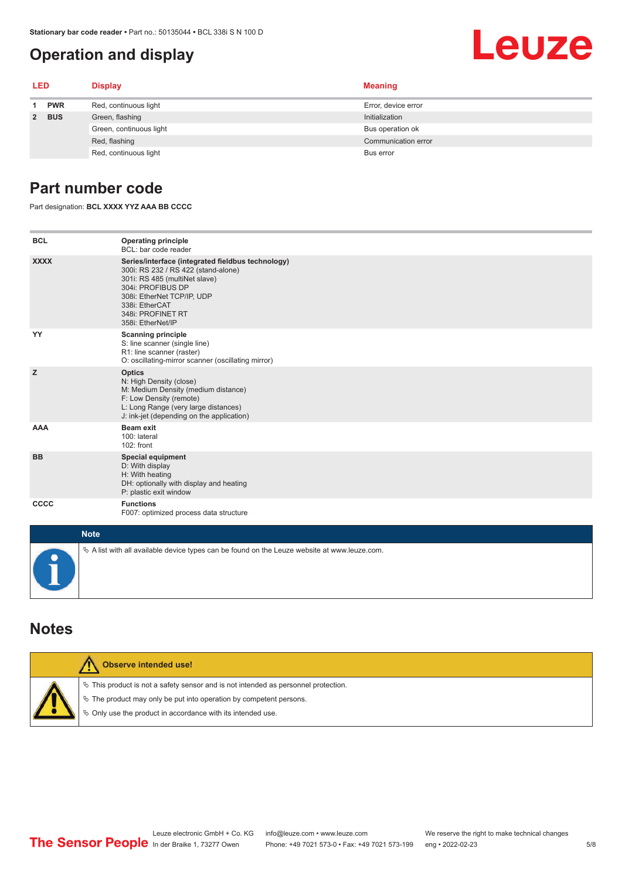#### <span id="page-4-0"></span>**Operation and display**

# Leuze

| <b>LED</b> |                         | <b>Display</b>        | <b>Meaning</b>      |
|------------|-------------------------|-----------------------|---------------------|
|            | <b>PWR</b>              | Red, continuous light | Error, device error |
| 2 BUS      | Green, flashing         | Initialization        |                     |
|            | Green, continuous light | Bus operation ok      |                     |
|            |                         | Red, flashing         | Communication error |
|            |                         | Red, continuous light | Bus error           |

#### **Part number code**

Part designation: **BCL XXXX YYZ AAA BB CCCC**

| <b>BCL</b>  | <b>Operating principle</b><br>BCL: bar code reader                                                                                                                                                                                       |  |  |  |
|-------------|------------------------------------------------------------------------------------------------------------------------------------------------------------------------------------------------------------------------------------------|--|--|--|
| <b>XXXX</b> | Series/interface (integrated fieldbus technology)<br>300i: RS 232 / RS 422 (stand-alone)<br>301i: RS 485 (multiNet slave)<br>304i: PROFIBUS DP<br>308i: EtherNet TCP/IP, UDP<br>338i: EtherCAT<br>348i: PROFINET RT<br>358i: EtherNet/IP |  |  |  |
| YY          | <b>Scanning principle</b><br>S: line scanner (single line)<br>R1: line scanner (raster)<br>O: oscillating-mirror scanner (oscillating mirror)                                                                                            |  |  |  |
| z           | <b>Optics</b><br>N: High Density (close)<br>M: Medium Density (medium distance)<br>F: Low Density (remote)<br>L: Long Range (very large distances)<br>J: ink-jet (depending on the application)                                          |  |  |  |
| <b>AAA</b>  | Beam exit<br>100: lateral<br>102: front                                                                                                                                                                                                  |  |  |  |
| <b>BB</b>   | <b>Special equipment</b><br>D: With display<br>H: With heating<br>DH: optionally with display and heating<br>P: plastic exit window                                                                                                      |  |  |  |
| CCCC        | <b>Functions</b><br>F007: optimized process data structure                                                                                                                                                                               |  |  |  |
| <b>Note</b> |                                                                                                                                                                                                                                          |  |  |  |
|             | $\&$ A list with all available device types can be found on the Leuze website at www.leuze.com.                                                                                                                                          |  |  |  |

#### **Notes**

| Observe intended use!                                                                                                                                                                                                         |
|-------------------------------------------------------------------------------------------------------------------------------------------------------------------------------------------------------------------------------|
| $\%$ This product is not a safety sensor and is not intended as personnel protection.<br>$\&$ The product may only be put into operation by competent persons.<br>♦ Only use the product in accordance with its intended use. |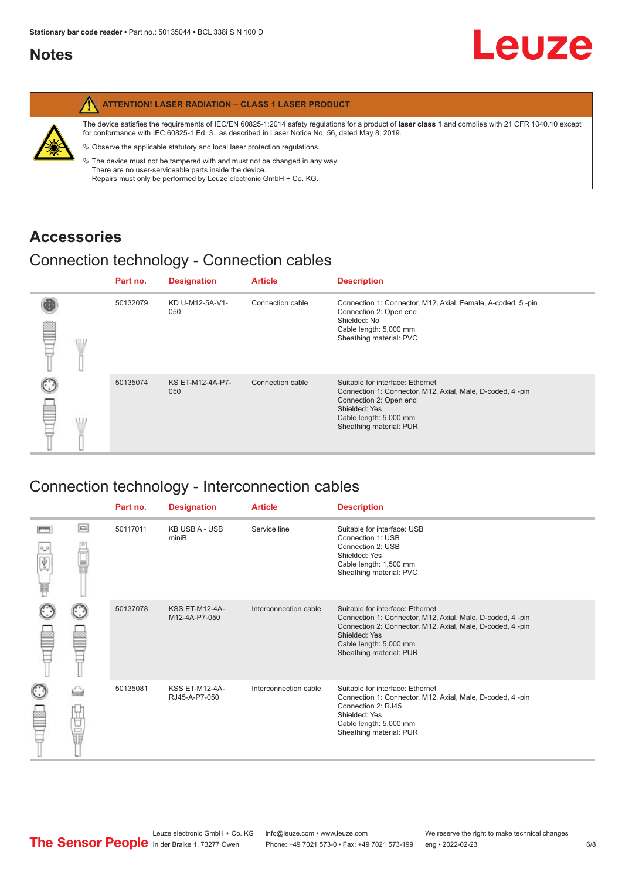#### <span id="page-5-0"></span>**Notes**

|   | <b>ATTENTION! LASER RADIATION - CLASS 1 LASER PRODUCT</b>                                                                                                                                                                                                                                                                                                                                                                                                                                                                                                   |
|---|-------------------------------------------------------------------------------------------------------------------------------------------------------------------------------------------------------------------------------------------------------------------------------------------------------------------------------------------------------------------------------------------------------------------------------------------------------------------------------------------------------------------------------------------------------------|
| 纂 | The device satisfies the requirements of IEC/EN 60825-1:2014 safety regulations for a product of laser class 1 and complies with 21 CFR 1040.10 except<br>for conformance with IEC 60825-1 Ed. 3., as described in Laser Notice No. 56, dated May 8, 2019.<br>$\%$ Observe the applicable statutory and local laser protection regulations.<br>$\%$ The device must not be tampered with and must not be changed in any way.<br>There are no user-serviceable parts inside the device.<br>Repairs must only be performed by Leuze electronic GmbH + Co. KG. |

#### **Accessories**

#### Connection technology - Connection cables

|      | Part no. | <b>Designation</b>      | <b>Article</b>   | <b>Description</b>                                                                                                                                                                            |
|------|----------|-------------------------|------------------|-----------------------------------------------------------------------------------------------------------------------------------------------------------------------------------------------|
| \ll. | 50132079 | KD U-M12-5A-V1-<br>050  | Connection cable | Connection 1: Connector, M12, Axial, Female, A-coded, 5-pin<br>Connection 2: Open end<br>Shielded: No<br>Cable length: 5,000 mm<br>Sheathing material: PVC                                    |
|      | 50135074 | KS ET-M12-4A-P7-<br>050 | Connection cable | Suitable for interface: Ethernet<br>Connection 1: Connector, M12, Axial, Male, D-coded, 4-pin<br>Connection 2: Open end<br>Shielded: Yes<br>Cable length: 5,000 mm<br>Sheathing material: PUR |

### Connection technology - Interconnection cables

|                           |                                                                                                                                                                                                                                | Part no. | <b>Designation</b>                     | <b>Article</b>        | <b>Description</b>                                                                                                                                                                                                               |
|---------------------------|--------------------------------------------------------------------------------------------------------------------------------------------------------------------------------------------------------------------------------|----------|----------------------------------------|-----------------------|----------------------------------------------------------------------------------------------------------------------------------------------------------------------------------------------------------------------------------|
| $\frac{1}{\sqrt{2}}$<br>Ħ | $\Box$                                                                                                                                                                                                                         | 50117011 | <b>KB USB A - USB</b><br>miniB         | Service line          | Suitable for interface: USB<br>Connection 1: USB<br>Connection 2: USB<br>Shielded: Yes<br>Cable length: 1,500 mm<br>Sheathing material: PVC                                                                                      |
|                           |                                                                                                                                                                                                                                | 50137078 | <b>KSS ET-M12-4A-</b><br>M12-4A-P7-050 | Interconnection cable | Suitable for interface: Ethernet<br>Connection 1: Connector, M12, Axial, Male, D-coded, 4-pin<br>Connection 2: Connector, M12, Axial, Male, D-coded, 4-pin<br>Shielded: Yes<br>Cable length: 5,000 mm<br>Sheathing material: PUR |
|                           | the filled the control in the control in the control in the control in the control in the control in the control in the control in the control in the control in the control in the control in the control in the control in t | 50135081 | <b>KSS ET-M12-4A-</b><br>RJ45-A-P7-050 | Interconnection cable | Suitable for interface: Ethernet<br>Connection 1: Connector, M12, Axial, Male, D-coded, 4-pin<br>Connection 2: RJ45<br>Shielded: Yes<br>Cable length: 5,000 mm<br>Sheathing material: PUR                                        |

Leuze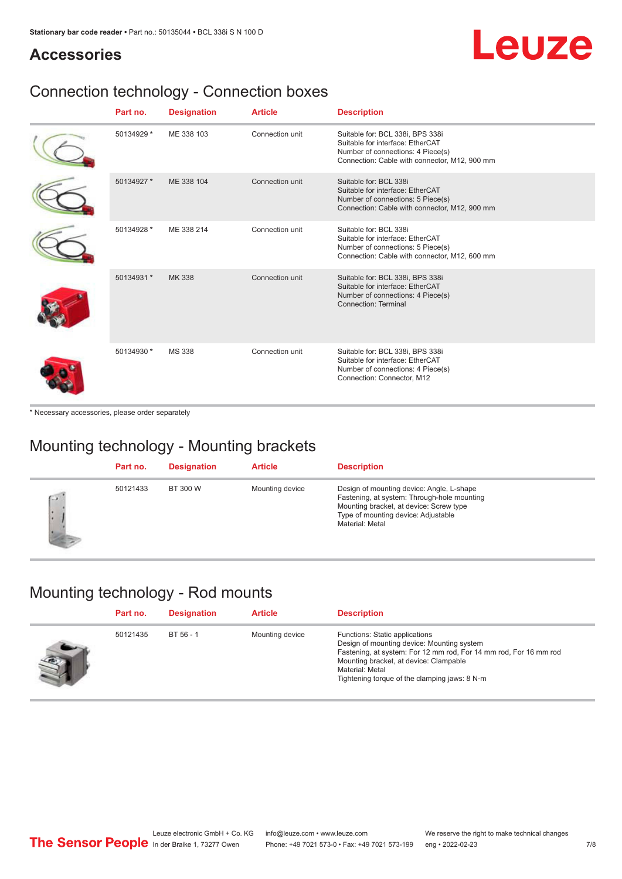## Leuze

#### **Accessories**

### Connection technology - Connection boxes

| Part no.   | <b>Designation</b> | <b>Article</b>  | <b>Description</b>                                                                                                                                         |
|------------|--------------------|-----------------|------------------------------------------------------------------------------------------------------------------------------------------------------------|
| 50134929 * | ME 338 103         | Connection unit | Suitable for: BCL 338i, BPS 338i<br>Suitable for interface: EtherCAT<br>Number of connections: 4 Piece(s)<br>Connection: Cable with connector, M12, 900 mm |
| 50134927 * | ME 338 104         | Connection unit | Suitable for: BCL 338i<br>Suitable for interface: EtherCAT<br>Number of connections: 5 Piece(s)<br>Connection: Cable with connector, M12, 900 mm           |
| 50134928 * | ME 338 214         | Connection unit | Suitable for: BCL 338i<br>Suitable for interface: EtherCAT<br>Number of connections: 5 Piece(s)<br>Connection: Cable with connector, M12, 600 mm           |
| 50134931 * | <b>MK338</b>       | Connection unit | Suitable for: BCL 338i, BPS 338i<br>Suitable for interface: EtherCAT<br>Number of connections: 4 Piece(s)<br>Connection: Terminal                          |
| 50134930 * | <b>MS 338</b>      | Connection unit | Suitable for: BCL 338i, BPS 338i<br>Suitable for interface: EtherCAT<br>Number of connections: 4 Piece(s)<br>Connection: Connector, M12                    |

\* Necessary accessories, please order separately

#### Mounting technology - Mounting brackets

|              | Part no. | <b>Designation</b> | <b>Article</b>  | <b>Description</b>                                                                                                                                                                            |
|--------------|----------|--------------------|-----------------|-----------------------------------------------------------------------------------------------------------------------------------------------------------------------------------------------|
| $\sim$<br>ı. | 50121433 | BT 300 W           | Mounting device | Design of mounting device: Angle, L-shape<br>Fastening, at system: Through-hole mounting<br>Mounting bracket, at device: Screw type<br>Type of mounting device: Adjustable<br>Material: Metal |

#### Mounting technology - Rod mounts

| Part no. | <b>Designation</b> | <b>Article</b>  | <b>Description</b>                                                                                                                                                                                                                                                |
|----------|--------------------|-----------------|-------------------------------------------------------------------------------------------------------------------------------------------------------------------------------------------------------------------------------------------------------------------|
| 50121435 | BT 56 - 1          | Mounting device | Functions: Static applications<br>Design of mounting device: Mounting system<br>Fastening, at system: For 12 mm rod, For 14 mm rod, For 16 mm rod<br>Mounting bracket, at device: Clampable<br>Material: Metal<br>Tightening torque of the clamping jaws: $8 N·m$ |